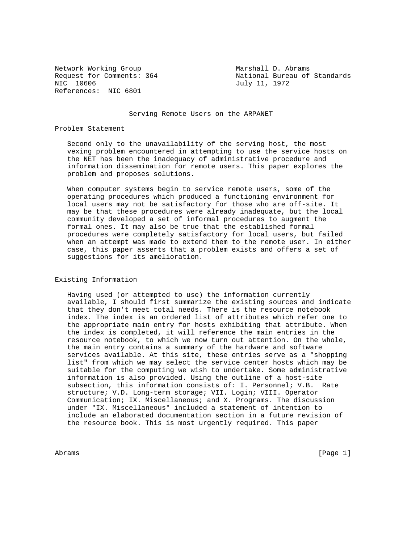Network Working Group Marshall D. Abrams References: NIC 6801

Request for Comments: 364 National Bureau of Standards<br>NIC 10606  $July$  11, 1972 July 11, 1972

Serving Remote Users on the ARPANET

#### Problem Statement

 Second only to the unavailability of the serving host, the most vexing problem encountered in attempting to use the service hosts on the NET has been the inadequacy of administrative procedure and information dissemination for remote users. This paper explores the problem and proposes solutions.

 When computer systems begin to service remote users, some of the operating procedures which produced a functioning environment for local users may not be satisfactory for those who are off-site. It may be that these procedures were already inadequate, but the local community developed a set of informal procedures to augment the formal ones. It may also be true that the established formal procedures were completely satisfactory for local users, but failed when an attempt was made to extend them to the remote user. In either case, this paper asserts that a problem exists and offers a set of suggestions for its amelioration.

#### Existing Information

 Having used (or attempted to use) the information currently available, I should first summarize the existing sources and indicate that they don't meet total needs. There is the resource notebook index. The index is an ordered list of attributes which refer one to the appropriate main entry for hosts exhibiting that attribute. When the index is completed, it will reference the main entries in the resource notebook, to which we now turn out attention. On the whole, the main entry contains a summary of the hardware and software services available. At this site, these entries serve as a "shopping list" from which we may select the service center hosts which may be suitable for the computing we wish to undertake. Some administrative information is also provided. Using the outline of a host-site subsection, this information consists of: I. Personnel; V.B. Rate structure; V.D. Long-term storage; VII. Login; VIII. Operator Communication; IX. Miscellaneous; and X. Programs. The discussion under "IX. Miscellaneous" included a statement of intention to include an elaborated documentation section in a future revision of the resource book. This is most urgently required. This paper

Abrams [Page 1] which is a set of the set of the set of the set of the set of the set of the set of the set of the set of the set of the set of the set of the set of the set of the set of the set of the set of the set of t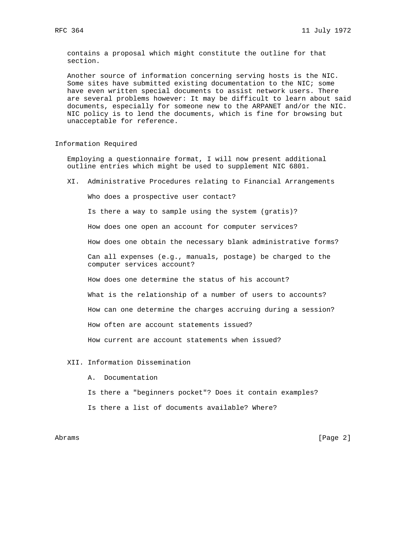contains a proposal which might constitute the outline for that section.

 Another source of information concerning serving hosts is the NIC. Some sites have submitted existing documentation to the NIC; some have even written special documents to assist network users. There are several problems however: It may be difficult to learn about said documents, especially for someone new to the ARPANET and/or the NIC. NIC policy is to lend the documents, which is fine for browsing but unacceptable for reference.

# Information Required

 Employing a questionnaire format, I will now present additional outline entries which might be used to supplement NIC 6801.

XI. Administrative Procedures relating to Financial Arrangements

Who does a prospective user contact?

Is there a way to sample using the system (gratis)?

How does one open an account for computer services?

How does one obtain the necessary blank administrative forms?

 Can all expenses (e.g., manuals, postage) be charged to the computer services account?

How does one determine the status of his account?

What is the relationship of a number of users to accounts?

How can one determine the charges accruing during a session?

How often are account statements issued?

How current are account statements when issued?

#### XII. Information Dissemination

- A. Documentation
- Is there a "beginners pocket"? Does it contain examples?
- Is there a list of documents available? Where?

Abrams [Page 2]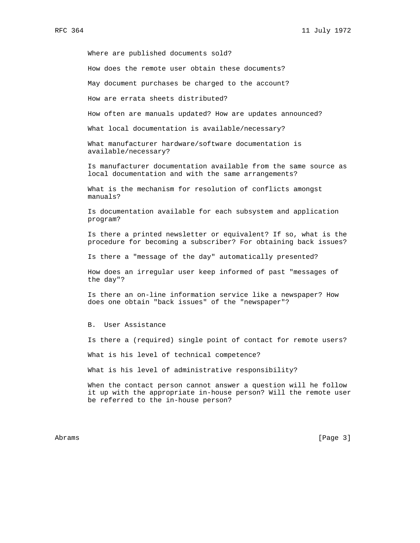Where are published documents sold?

How does the remote user obtain these documents?

May document purchases be charged to the account?

How are errata sheets distributed?

How often are manuals updated? How are updates announced?

What local documentation is available/necessary?

 What manufacturer hardware/software documentation is available/necessary?

 Is manufacturer documentation available from the same source as local documentation and with the same arrangements?

 What is the mechanism for resolution of conflicts amongst manuals?

 Is documentation available for each subsystem and application program?

 Is there a printed newsletter or equivalent? If so, what is the procedure for becoming a subscriber? For obtaining back issues?

Is there a "message of the day" automatically presented?

 How does an irregular user keep informed of past "messages of the day"?

 Is there an on-line information service like a newspaper? How does one obtain "back issues" of the "newspaper"?

B. User Assistance

Is there a (required) single point of contact for remote users?

What is his level of technical competence?

What is his level of administrative responsibility?

 When the contact person cannot answer a question will he follow it up with the appropriate in-house person? Will the remote user be referred to the in-house person?

Abrams [Page 3]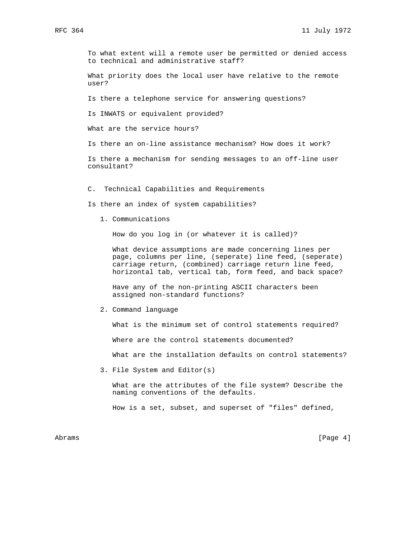To what extent will a remote user be permitted or denied access to technical and administrative staff?

 What priority does the local user have relative to the remote user?

Is there a telephone service for answering questions?

Is INWATS or equivalent provided?

What are the service hours?

Is there an on-line assistance mechanism? How does it work?

 Is there a mechanism for sending messages to an off-line user consultant?

C. Technical Capabilities and Requirements

Is there an index of system capabilities?

1. Communications

How do you log in (or whatever it is called)?

 What device assumptions are made concerning lines per page, columns per line, (seperate) line feed, (seperate) carriage return, (combined) carriage return line feed, horizontal tab, vertical tab, form feed, and back space?

 Have any of the non-printing ASCII characters been assigned non-standard functions?

2. Command language

What is the minimum set of control statements required?

Where are the control statements documented?

What are the installation defaults on control statements?

3. File System and Editor(s)

 What are the attributes of the file system? Describe the naming conventions of the defaults.

How is a set, subset, and superset of "files" defined,

Abrams [Page 4]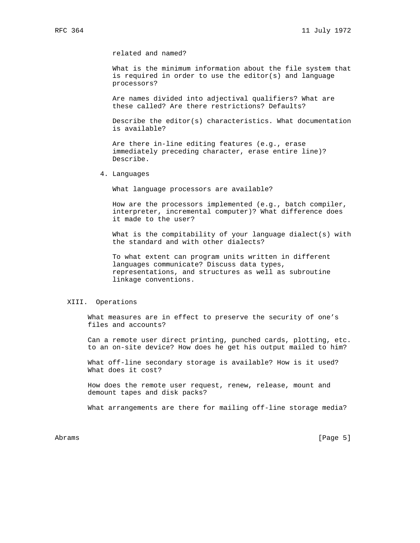related and named?

 What is the minimum information about the file system that is required in order to use the editor(s) and language processors?

 Are names divided into adjectival qualifiers? What are these called? Are there restrictions? Defaults?

 Describe the editor(s) characteristics. What documentation is available?

 Are there in-line editing features (e.g., erase immediately preceding character, erase entire line)? Describe.

4. Languages

What language processors are available?

 How are the processors implemented (e.g., batch compiler, interpreter, incremental computer)? What difference does it made to the user?

 What is the compitability of your language dialect(s) with the standard and with other dialects?

 To what extent can program units written in different languages communicate? Discuss data types, representations, and structures as well as subroutine linkage conventions.

## XIII. Operations

 What measures are in effect to preserve the security of one's files and accounts?

 Can a remote user direct printing, punched cards, plotting, etc. to an on-site device? How does he get his output mailed to him?

 What off-line secondary storage is available? How is it used? What does it cost?

 How does the remote user request, renew, release, mount and demount tapes and disk packs?

What arrangements are there for mailing off-line storage media?

Abrams [Page 5]